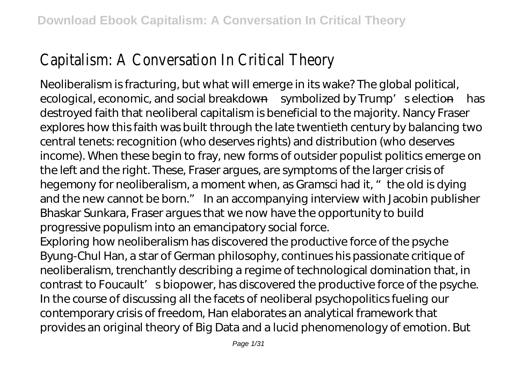## Capitalism: A Conversation In Critical Theory

Neoliberalism is fracturing, but what will emerge in its wake? The global political, ecological, economic, and social breakdown—symbolized by Trump' selection—has destroyed faith that neoliberal capitalism is beneficial to the majority. Nancy Fraser explores how this faith was built through the late twentieth century by balancing two central tenets: recognition (who deserves rights) and distribution (who deserves income). When these begin to fray, new forms of outsider populist politics emerge on the left and the right. These, Fraser argues, are symptoms of the larger crisis of hegemony for neoliberalism, a moment when, as Gramsci had it, " the old is dying and the new cannot be born." In an accompanying interview with Jacobin publisher Bhaskar Sunkara, Fraser argues that we now have the opportunity to build progressive populism into an emancipatory social force.

Exploring how neoliberalism has discovered the productive force of the psyche Byung-Chul Han, a star of German philosophy, continues his passionate critique of neoliberalism, trenchantly describing a regime of technological domination that, in contrast to Foucault's biopower, has discovered the productive force of the psyche. In the course of discussing all the facets of neoliberal psychopolitics fueling our contemporary crisis of freedom, Han elaborates an analytical framework that provides an original theory of Big Data and a lucid phenomenology of emotion. But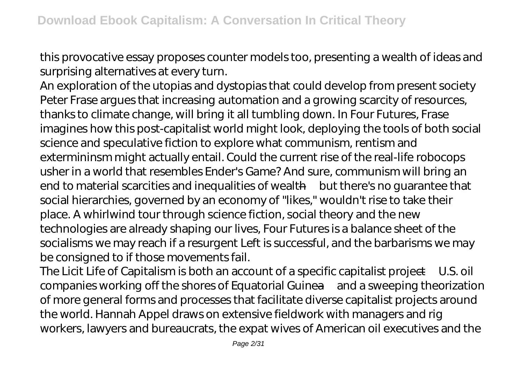this provocative essay proposes counter models too, presenting a wealth of ideas and surprising alternatives at every turn.

An exploration of the utopias and dystopias that could develop from present society Peter Frase argues that increasing automation and a growing scarcity of resources, thanks to climate change, will bring it all tumbling down. In Four Futures, Frase imagines how this post-capitalist world might look, deploying the tools of both social science and speculative fiction to explore what communism, rentism and extermininsm might actually entail. Could the current rise of the real-life robocops usher in a world that resembles Ender's Game? And sure, communism will bring an end to material scarcities and inequalities of wealth—but there's no guarantee that social hierarchies, governed by an economy of "likes," wouldn't rise to take their place. A whirlwind tour through science fiction, social theory and the new technologies are already shaping our lives, Four Futures is a balance sheet of the socialisms we may reach if a resurgent Left is successful, and the barbarisms we may be consigned to if those movements fail.

The Licit Life of Capitalism is both an account of a specific capitalist project—U.S. oil companies working off the shores of Equatorial Guinea—and a sweeping theorization of more general forms and processes that facilitate diverse capitalist projects around the world. Hannah Appel draws on extensive fieldwork with managers and rig workers, lawyers and bureaucrats, the expat wives of American oil executives and the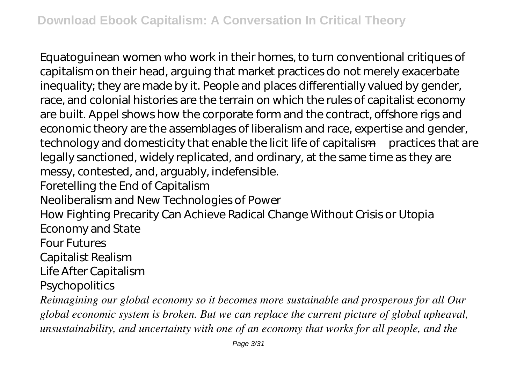Equatoguinean women who work in their homes, to turn conventional critiques of capitalism on their head, arguing that market practices do not merely exacerbate inequality; they are made by it. People and places differentially valued by gender, race, and colonial histories are the terrain on which the rules of capitalist economy are built. Appel shows how the corporate form and the contract, offshore rigs and economic theory are the assemblages of liberalism and race, expertise and gender, technology and domesticity that enable the licit life of capitalism—practices that are legally sanctioned, widely replicated, and ordinary, at the same time as they are messy, contested, and, arguably, indefensible. Foretelling the End of Capitalism Neoliberalism and New Technologies of Power How Fighting Precarity Can Achieve Radical Change Without Crisis or Utopia Economy and State Four Futures Capitalist Realism Life After Capitalism **Psychopolitics** *Reimagining our global economy so it becomes more sustainable and prosperous for all Our*

*global economic system is broken. But we can replace the current picture of global upheaval, unsustainability, and uncertainty with one of an economy that works for all people, and the*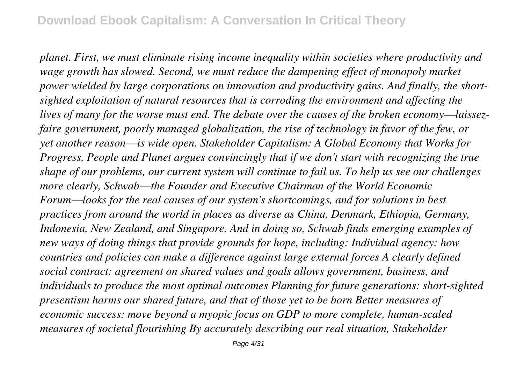*planet. First, we must eliminate rising income inequality within societies where productivity and wage growth has slowed. Second, we must reduce the dampening effect of monopoly market power wielded by large corporations on innovation and productivity gains. And finally, the shortsighted exploitation of natural resources that is corroding the environment and affecting the lives of many for the worse must end. The debate over the causes of the broken economy—laissezfaire government, poorly managed globalization, the rise of technology in favor of the few, or yet another reason—is wide open. Stakeholder Capitalism: A Global Economy that Works for Progress, People and Planet argues convincingly that if we don't start with recognizing the true shape of our problems, our current system will continue to fail us. To help us see our challenges more clearly, Schwab—the Founder and Executive Chairman of the World Economic Forum—looks for the real causes of our system's shortcomings, and for solutions in best practices from around the world in places as diverse as China, Denmark, Ethiopia, Germany, Indonesia, New Zealand, and Singapore. And in doing so, Schwab finds emerging examples of new ways of doing things that provide grounds for hope, including: Individual agency: how countries and policies can make a difference against large external forces A clearly defined social contract: agreement on shared values and goals allows government, business, and individuals to produce the most optimal outcomes Planning for future generations: short-sighted presentism harms our shared future, and that of those yet to be born Better measures of economic success: move beyond a myopic focus on GDP to more complete, human-scaled measures of societal flourishing By accurately describing our real situation, Stakeholder*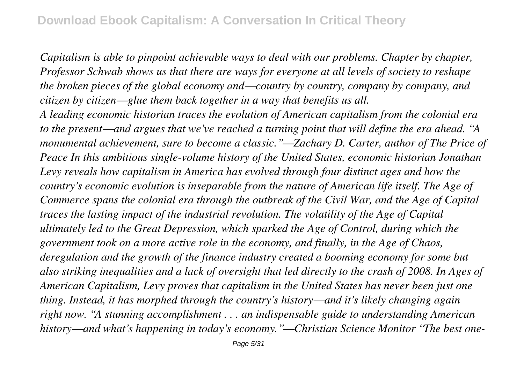*Capitalism is able to pinpoint achievable ways to deal with our problems. Chapter by chapter, Professor Schwab shows us that there are ways for everyone at all levels of society to reshape the broken pieces of the global economy and—country by country, company by company, and citizen by citizen—glue them back together in a way that benefits us all.*

*A leading economic historian traces the evolution of American capitalism from the colonial era to the present—and argues that we've reached a turning point that will define the era ahead. "A monumental achievement, sure to become a classic."—Zachary D. Carter, author of The Price of Peace In this ambitious single-volume history of the United States, economic historian Jonathan Levy reveals how capitalism in America has evolved through four distinct ages and how the country's economic evolution is inseparable from the nature of American life itself. The Age of Commerce spans the colonial era through the outbreak of the Civil War, and the Age of Capital traces the lasting impact of the industrial revolution. The volatility of the Age of Capital ultimately led to the Great Depression, which sparked the Age of Control, during which the government took on a more active role in the economy, and finally, in the Age of Chaos, deregulation and the growth of the finance industry created a booming economy for some but also striking inequalities and a lack of oversight that led directly to the crash of 2008. In Ages of American Capitalism, Levy proves that capitalism in the United States has never been just one thing. Instead, it has morphed through the country's history—and it's likely changing again right now. "A stunning accomplishment . . . an indispensable guide to understanding American history—and what's happening in today's economy."—Christian Science Monitor "The best one-*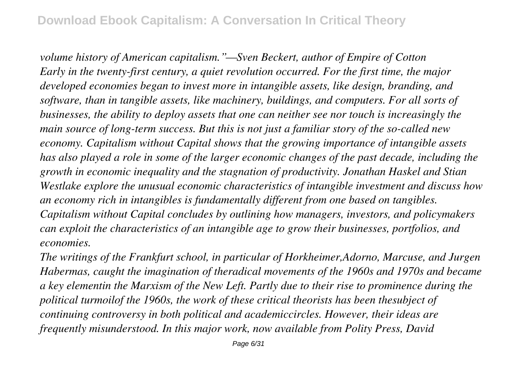*volume history of American capitalism."—Sven Beckert, author of Empire of Cotton Early in the twenty-first century, a quiet revolution occurred. For the first time, the major developed economies began to invest more in intangible assets, like design, branding, and software, than in tangible assets, like machinery, buildings, and computers. For all sorts of businesses, the ability to deploy assets that one can neither see nor touch is increasingly the main source of long-term success. But this is not just a familiar story of the so-called new economy. Capitalism without Capital shows that the growing importance of intangible assets has also played a role in some of the larger economic changes of the past decade, including the growth in economic inequality and the stagnation of productivity. Jonathan Haskel and Stian Westlake explore the unusual economic characteristics of intangible investment and discuss how an economy rich in intangibles is fundamentally different from one based on tangibles. Capitalism without Capital concludes by outlining how managers, investors, and policymakers can exploit the characteristics of an intangible age to grow their businesses, portfolios, and economies.*

*The writings of the Frankfurt school, in particular of Horkheimer,Adorno, Marcuse, and Jurgen Habermas, caught the imagination of theradical movements of the 1960s and 1970s and became a key elementin the Marxism of the New Left. Partly due to their rise to prominence during the political turmoilof the 1960s, the work of these critical theorists has been thesubject of continuing controversy in both political and academiccircles. However, their ideas are frequently misunderstood. In this major work, now available from Polity Press, David*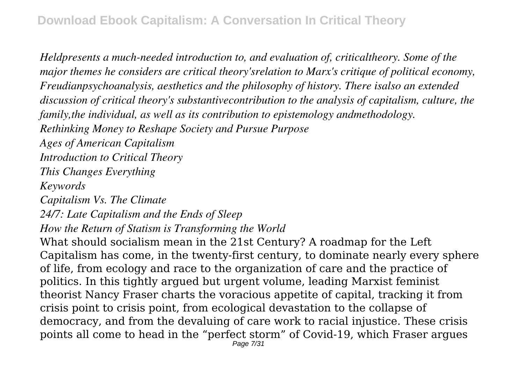*Heldpresents a much-needed introduction to, and evaluation of, criticaltheory. Some of the major themes he considers are critical theory'srelation to Marx's critique of political economy, Freudianpsychoanalysis, aesthetics and the philosophy of history. There isalso an extended discussion of critical theory's substantivecontribution to the analysis of capitalism, culture, the family,the individual, as well as its contribution to epistemology andmethodology. Rethinking Money to Reshape Society and Pursue Purpose Ages of American Capitalism Introduction to Critical Theory This Changes Everything Keywords Capitalism Vs. The Climate 24/7: Late Capitalism and the Ends of Sleep How the Return of Statism is Transforming the World* What should socialism mean in the 21st Century? A roadmap for the Left Capitalism has come, in the twenty-first century, to dominate nearly every sphere of life, from ecology and race to the organization of care and the practice of politics. In this tightly argued but urgent volume, leading Marxist feminist theorist Nancy Fraser charts the voracious appetite of capital, tracking it from crisis point to crisis point, from ecological devastation to the collapse of

democracy, and from the devaluing of care work to racial injustice. These crisis points all come to head in the "perfect storm" of Covid-19, which Fraser argues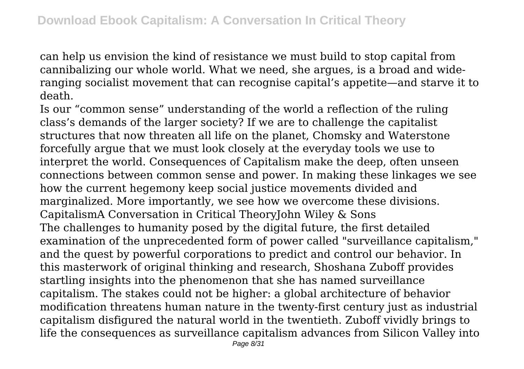can help us envision the kind of resistance we must build to stop capital from cannibalizing our whole world. What we need, she argues, is a broad and wideranging socialist movement that can recognise capital's appetite—and starve it to death.

Is our "common sense" understanding of the world a reflection of the ruling class's demands of the larger society? If we are to challenge the capitalist structures that now threaten all life on the planet, Chomsky and Waterstone forcefully argue that we must look closely at the everyday tools we use to interpret the world. Consequences of Capitalism make the deep, often unseen connections between common sense and power. In making these linkages we see how the current hegemony keep social justice movements divided and marginalized. More importantly, we see how we overcome these divisions. CapitalismA Conversation in Critical TheoryJohn Wiley & Sons The challenges to humanity posed by the digital future, the first detailed examination of the unprecedented form of power called "surveillance capitalism," and the quest by powerful corporations to predict and control our behavior. In this masterwork of original thinking and research, Shoshana Zuboff provides startling insights into the phenomenon that she has named surveillance capitalism. The stakes could not be higher: a global architecture of behavior modification threatens human nature in the twenty-first century just as industrial capitalism disfigured the natural world in the twentieth. Zuboff vividly brings to life the consequences as surveillance capitalism advances from Silicon Valley into Page 8/31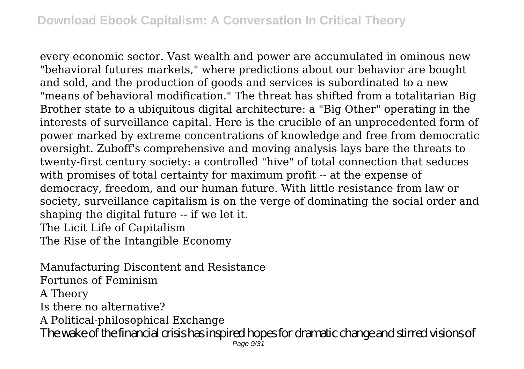every economic sector. Vast wealth and power are accumulated in ominous new "behavioral futures markets," where predictions about our behavior are bought and sold, and the production of goods and services is subordinated to a new "means of behavioral modification." The threat has shifted from a totalitarian Big Brother state to a ubiquitous digital architecture: a "Big Other" operating in the interests of surveillance capital. Here is the crucible of an unprecedented form of power marked by extreme concentrations of knowledge and free from democratic oversight. Zuboff's comprehensive and moving analysis lays bare the threats to twenty-first century society: a controlled "hive" of total connection that seduces with promises of total certainty for maximum profit -- at the expense of democracy, freedom, and our human future. With little resistance from law or society, surveillance capitalism is on the verge of dominating the social order and shaping the digital future -- if we let it. The Licit Life of Capitalism

The Rise of the Intangible Economy

Manufacturing Discontent and Resistance Fortunes of Feminism A Theory Is there no alternative? A Political-philosophical Exchange The wake of the financial crisis has inspired hopes for dramatic change and stirred visions of Page  $9/31$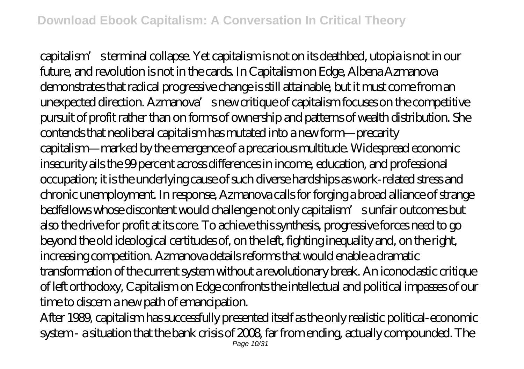capitalism's terminal collapse. Yet capitalism is not on its deathbed, utopia is not in our future, and revolution is not in the cards. In Capitalism on Edge, Albena Azmanova demonstrates that radical progressive change is still attainable, but it must come from an unexpected direction. Azmanova's new critique of capitalism focuses on the competitive pursuit of profit rather than on forms of ownership and patterns of wealth distribution. She contends that neoliberal capitalism has mutated into a new form—precarity capitalism—marked by the emergence of a precarious multitude. Widespread economic insecurity ails the 99 percent across differences in income, education, and professional occupation; it is the underlying cause of such diverse hardships as work-related stress and chronic unemployment. In response, Azmanova calls for forging a broad alliance of strange bedfellows whose discontent would challenge not only capitalism' sunfair outcomes but also the drive for profit at its core. To achieve this synthesis, progressive forces need to go beyond the old ideological certitudes of, on the left, fighting inequality and, on the right, increasing competition. Azmanova details reforms that would enable a dramatic transformation of the current system without a revolutionary break. An iconoclastic critique of left orthodoxy, Capitalism on Edge confronts the intellectual and political impasses of our time to discern a new path of emancipation.

After 1989, capitalism has successfully presented itself as the only realistic political-economic system - a situation that the bank crisis of 2008, far from ending, actually compounded. The Page 10/31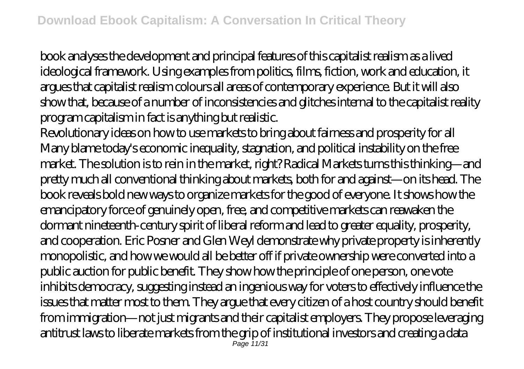book analyses the development and principal features of this capitalist realism as a lived ideological framework. Using examples from politics, films, fiction, work and education, it argues that capitalist realism colours all areas of contemporary experience. But it will also show that, because of a number of inconsistencies and glitches internal to the capitalist reality program capitalism in fact is anything but realistic.

Revolutionary ideas on how to use markets to bring about fairness and prosperity for all Many blame today's economic inequality, stagnation, and political instability on the free market. The solution is to rein in the market, right? Radical Markets turns this thinking—and pretty much all conventional thinking about markets, both for and against—on its head. The book reveals bold new ways to organize markets for the good of everyone. It shows how the emancipatory force of genuinely open, free, and competitive markets can reawaken the dormant nineteenth-century spirit of liberal reform and lead to greater equality, prosperity, and cooperation. Eric Posner and Glen Weyl demonstrate why private property is inherently monopolistic, and how we would all be better off if private ownership were converted into a public auction for public benefit. They show how the principle of one person, one vote inhibits democracy, suggesting instead an ingenious way for voters to effectively influence the issues that matter most to them. They argue that every citizen of a host country should benefit from immigration—not just migrants and their capitalist employers. They propose leveraging antitrust laws to liberate markets from the grip of institutional investors and creating a data Page 11/31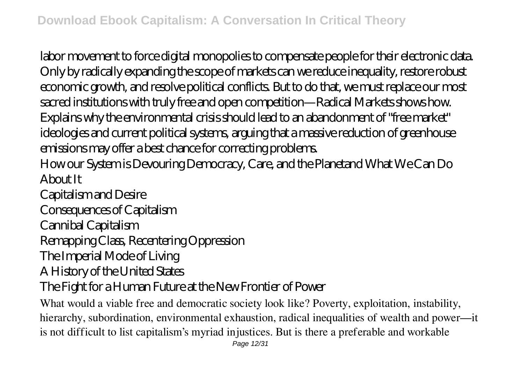labor movement to force digital monopolies to compensate people for their electronic data. Only by radically expanding the scope of markets can we reduce inequality, restore robust economic growth, and resolve political conflicts. But to do that, we must replace our most sacred institutions with truly free and open competition—Radical Markets shows how. Explains why the environmental crisis should lead to an abandonment of "free market" ideologies and current political systems, arguing that a massive reduction of greenhouse emissions may offer a best chance for correcting problems.

How our System is Devouring Democracy, Care, and the Planetand What We Can Do About It

Capitalism and Desire

Consequences of Capitalism

Cannibal Capitalism

Remapping Class, Recentering Oppression

The Imperial Mode of Living

A History of the United States

The Fight for a Human Future at the New Frontier of Power

What would a viable free and democratic society look like? Poverty, exploitation, instability, hierarchy, subordination, environmental exhaustion, radical inequalities of wealth and power—it is not difficult to list capitalism's myriad injustices. But is there a preferable and workable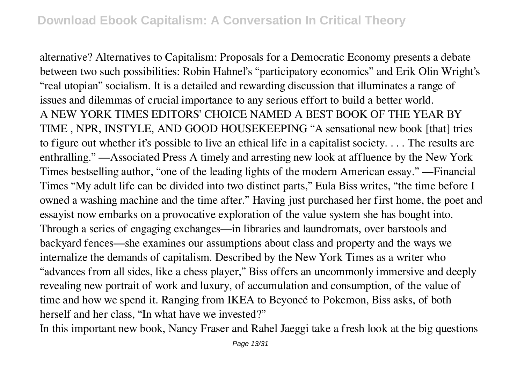alternative? Alternatives to Capitalism: Proposals for a Democratic Economy presents a debate between two such possibilities: Robin Hahnel's "participatory economics" and Erik Olin Wright's "real utopian" socialism. It is a detailed and rewarding discussion that illuminates a range of issues and dilemmas of crucial importance to any serious effort to build a better world. A NEW YORK TIMES EDITORS' CHOICE NAMED A BEST BOOK OF THE YEAR BY TIME , NPR, INSTYLE, AND GOOD HOUSEKEEPING "A sensational new book [that] tries to figure out whether it's possible to live an ethical life in a capitalist society. . . . The results are enthralling." —Associated Press A timely and arresting new look at affluence by the New York Times bestselling author, "one of the leading lights of the modern American essay." —Financial Times "My adult life can be divided into two distinct parts," Eula Biss writes, "the time before I owned a washing machine and the time after." Having just purchased her first home, the poet and essayist now embarks on a provocative exploration of the value system she has bought into. Through a series of engaging exchanges—in libraries and laundromats, over barstools and backyard fences—she examines our assumptions about class and property and the ways we internalize the demands of capitalism. Described by the New York Times as a writer who "advances from all sides, like a chess player," Biss offers an uncommonly immersive and deeply revealing new portrait of work and luxury, of accumulation and consumption, of the value of time and how we spend it. Ranging from IKEA to Beyoncé to Pokemon, Biss asks, of both herself and her class, "In what have we invested?"

In this important new book, Nancy Fraser and Rahel Jaeggi take a fresh look at the big questions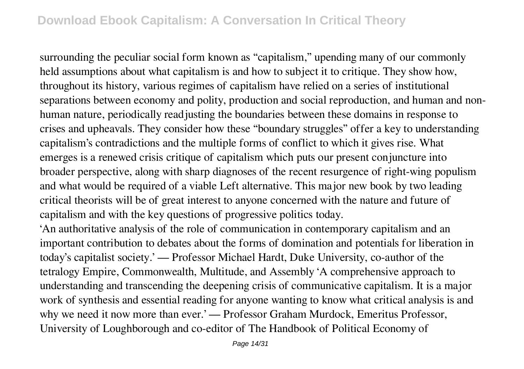surrounding the peculiar social form known as "capitalism," upending many of our commonly held assumptions about what capitalism is and how to subject it to critique. They show how, throughout its history, various regimes of capitalism have relied on a series of institutional separations between economy and polity, production and social reproduction, and human and nonhuman nature, periodically readjusting the boundaries between these domains in response to crises and upheavals. They consider how these "boundary struggles" offer a key to understanding capitalism's contradictions and the multiple forms of conflict to which it gives rise. What emerges is a renewed crisis critique of capitalism which puts our present conjuncture into broader perspective, along with sharp diagnoses of the recent resurgence of right-wing populism and what would be required of a viable Left alternative. This major new book by two leading critical theorists will be of great interest to anyone concerned with the nature and future of capitalism and with the key questions of progressive politics today.

'An authoritative analysis of the role of communication in contemporary capitalism and an important contribution to debates about the forms of domination and potentials for liberation in today's capitalist society.' — Professor Michael Hardt, Duke University, co-author of the tetralogy Empire, Commonwealth, Multitude, and Assembly 'A comprehensive approach to understanding and transcending the deepening crisis of communicative capitalism. It is a major work of synthesis and essential reading for anyone wanting to know what critical analysis is and why we need it now more than ever.' — Professor Graham Murdock, Emeritus Professor, University of Loughborough and co-editor of The Handbook of Political Economy of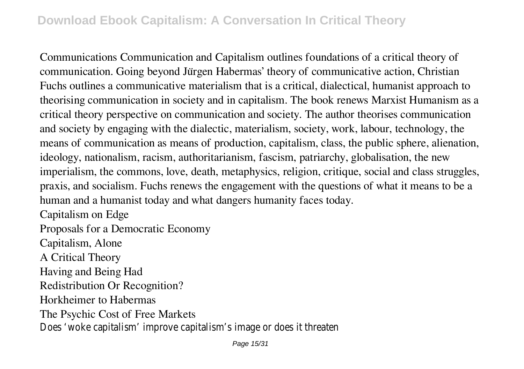Communications Communication and Capitalism outlines foundations of a critical theory of communication. Going beyond Jürgen Habermas' theory of communicative action, Christian Fuchs outlines a communicative materialism that is a critical, dialectical, humanist approach to theorising communication in society and in capitalism. The book renews Marxist Humanism as a critical theory perspective on communication and society. The author theorises communication and society by engaging with the dialectic, materialism, society, work, labour, technology, the means of communication as means of production, capitalism, class, the public sphere, alienation, ideology, nationalism, racism, authoritarianism, fascism, patriarchy, globalisation, the new imperialism, the commons, love, death, metaphysics, religion, critique, social and class struggles, praxis, and socialism. Fuchs renews the engagement with the questions of what it means to be a human and a humanist today and what dangers humanity faces today.

Capitalism on Edge

Proposals for a Democratic Economy

Capitalism, Alone

A Critical Theory

Having and Being Had

Redistribution Or Recognition?

Horkheimer to Habermas

The Psychic Cost of Free Markets

Does 'woke capitalism' improve capitalism's image or does it threaten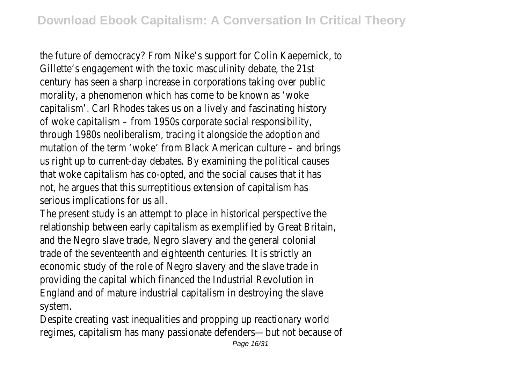the future of democracy? From Nike's support for Colin Kaepernick, to Gillette's engagement with the toxic masculinity debate, the 21st century has seen a sharp increase in corporations taking over public morality, a phenomenon which has come to be known as 'woke capitalism'. Carl Rhodes takes us on a lively and fascinating history of woke capitalism – from 1950s corporate social responsibility, through 1980s neoliberalism, tracing it alongside the adoption and mutation of the term 'woke' from Black American culture – and brings us right up to current-day debates. By examining the political causes that woke capitalism has co-opted, and the social causes that it has not, he argues that this surreptitious extension of capitalism has serious implications for us all.

The present study is an attempt to place in historical perspective the relationship between early capitalism as exemplified by Great Britain, and the Negro slave trade, Negro slavery and the general colonial trade of the seventeenth and eighteenth centuries. It is strictly an economic study of the role of Negro slavery and the slave trade in providing the capital which financed the Industrial Revolution in England and of mature industrial capitalism in destroying the slave system.

Despite creating vast inequalities and propping up reactionary world regimes, capitalism has many passionate defenders—but not because of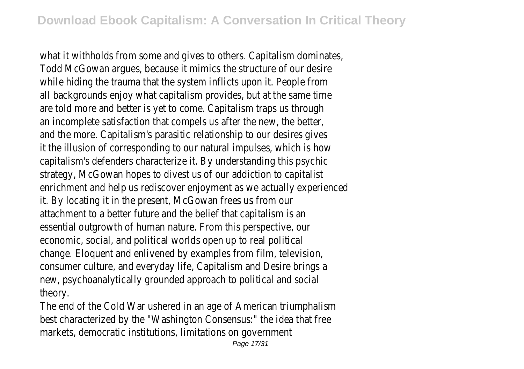what it withholds from some and gives to others. Capitalism dominates, Todd McGowan argues, because it mimics the structure of our desire while hiding the trauma that the system inflicts upon it. People from all backgrounds enjoy what capitalism provides, but at the same time are told more and better is yet to come. Capitalism traps us through an incomplete satisfaction that compels us after the new, the better, and the more. Capitalism's parasitic relationship to our desires gives it the illusion of corresponding to our natural impulses, which is how capitalism's defenders characterize it. By understanding this psychic strategy, McGowan hopes to divest us of our addiction to capitalist enrichment and help us rediscover enjoyment as we actually experienced it. By locating it in the present, McGowan frees us from our attachment to a better future and the belief that capitalism is an essential outgrowth of human nature. From this perspective, our economic, social, and political worlds open up to real political change. Eloquent and enlivened by examples from film, television, consumer culture, and everyday life, Capitalism and Desire brings a new, psychoanalytically grounded approach to political and social theory.

The end of the Cold War ushered in an age of American triumphalism best characterized by the "Washington Consensus:" the idea that free markets, democratic institutions, limitations on government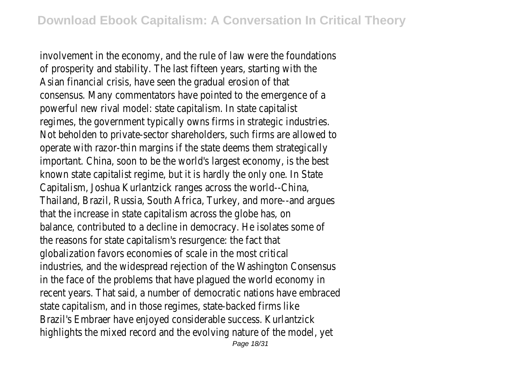involvement in the economy, and the rule of law were the foundations of prosperity and stability. The last fifteen years, starting with the Asian financial crisis, have seen the gradual erosion of that consensus. Many commentators have pointed to the emergence of a powerful new rival model: state capitalism. In state capitalist regimes, the government typically owns firms in strategic industries. Not beholden to private-sector shareholders, such firms are allowed to operate with razor-thin margins if the state deems them strategically important. China, soon to be the world's largest economy, is the best known state capitalist regime, but it is hardly the only one. In State Capitalism, Joshua Kurlantzick ranges across the world--China, Thailand, Brazil, Russia, South Africa, Turkey, and more--and argues that the increase in state capitalism across the globe has, on balance, contributed to a decline in democracy. He isolates some of the reasons for state capitalism's resurgence: the fact that globalization favors economies of scale in the most critical industries, and the widespread rejection of the Washington Consensus in the face of the problems that have plagued the world economy in recent years. That said, a number of democratic nations have embraced state capitalism, and in those regimes, state-backed firms like Brazil's Embraer have enjoyed considerable success. Kurlantzick highlights the mixed record and the evolving nature of the model, yet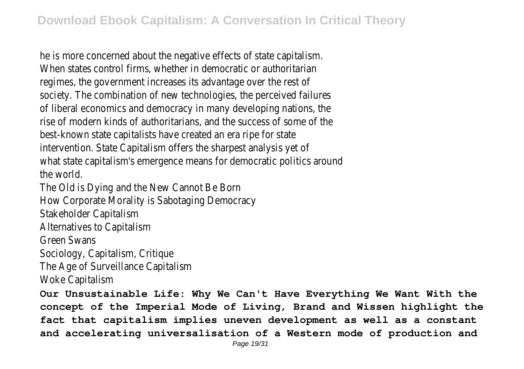he is more concerned about the negative effects of state capitalism. When states control firms, whether in democratic or authoritarian regimes, the government increases its advantage over the rest of society. The combination of new technologies, the perceived failures of liberal economics and democracy in many developing nations, the rise of modern kinds of authoritarians, and the success of some of the best-known state capitalists have created an era ripe for state intervention. State Capitalism offers the sharpest analysis yet of what state capitalism's emergence means for democratic politics around the world.

The Old is Dying and the New Cannot Be Born How Corporate Morality is Sabotaging Democracy

Stakeholder Capitalism

Alternatives to Capitalism

Green Swans

Sociology, Capitalism, Critique

The Age of Surveillance Capitalism

Woke Capitalism

**Our Unsustainable Life: Why We Can't Have Everything We Want With the concept of the Imperial Mode of Living, Brand and Wissen highlight the fact that capitalism implies uneven development as well as a constant and accelerating universalisation of a Western mode of production and**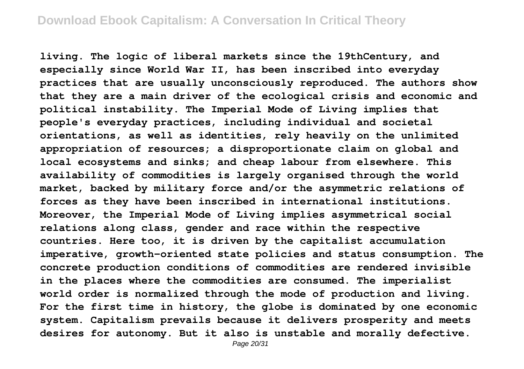**living. The logic of liberal markets since the 19thCentury, and especially since World War II, has been inscribed into everyday practices that are usually unconsciously reproduced. The authors show that they are a main driver of the ecological crisis and economic and political instability. The Imperial Mode of Living implies that people's everyday practices, including individual and societal orientations, as well as identities, rely heavily on the unlimited appropriation of resources; a disproportionate claim on global and local ecosystems and sinks; and cheap labour from elsewhere. This availability of commodities is largely organised through the world market, backed by military force and/or the asymmetric relations of forces as they have been inscribed in international institutions. Moreover, the Imperial Mode of Living implies asymmetrical social relations along class, gender and race within the respective countries. Here too, it is driven by the capitalist accumulation imperative, growth-oriented state policies and status consumption. The concrete production conditions of commodities are rendered invisible in the places where the commodities are consumed. The imperialist world order is normalized through the mode of production and living. For the first time in history, the globe is dominated by one economic system. Capitalism prevails because it delivers prosperity and meets desires for autonomy. But it also is unstable and morally defective.**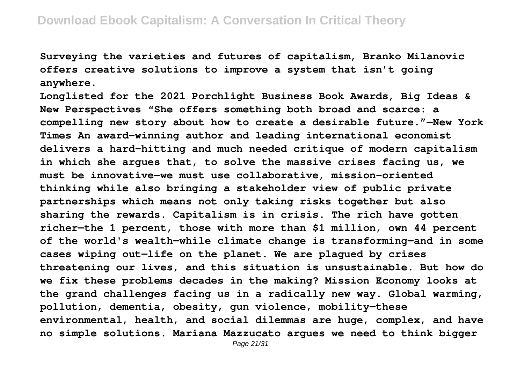**Surveying the varieties and futures of capitalism, Branko Milanovic offers creative solutions to improve a system that isn't going anywhere.**

**Longlisted for the 2021 Porchlight Business Book Awards, Big Ideas & New Perspectives "She offers something both broad and scarce: a compelling new story about how to create a desirable future."—New York Times An award-winning author and leading international economist delivers a hard-hitting and much needed critique of modern capitalism in which she argues that, to solve the massive crises facing us, we must be innovative—we must use collaborative, mission-oriented thinking while also bringing a stakeholder view of public private partnerships which means not only taking risks together but also sharing the rewards. Capitalism is in crisis. The rich have gotten richer—the 1 percent, those with more than \$1 million, own 44 percent of the world's wealth—while climate change is transforming—and in some cases wiping out—life on the planet. We are plagued by crises threatening our lives, and this situation is unsustainable. But how do we fix these problems decades in the making? Mission Economy looks at the grand challenges facing us in a radically new way. Global warming, pollution, dementia, obesity, gun violence, mobility—these environmental, health, and social dilemmas are huge, complex, and have no simple solutions. Mariana Mazzucato argues we need to think bigger**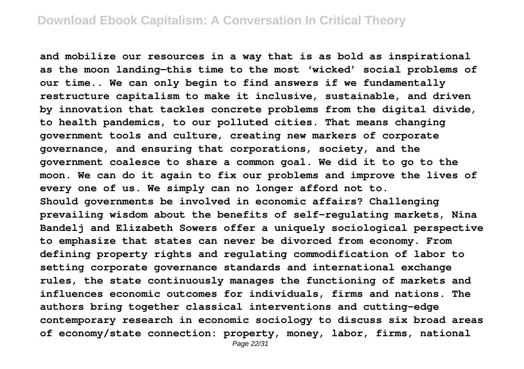**and mobilize our resources in a way that is as bold as inspirational as the moon landing—this time to the most 'wicked' social problems of our time.. We can only begin to find answers if we fundamentally restructure capitalism to make it inclusive, sustainable, and driven by innovation that tackles concrete problems from the digital divide, to health pandemics, to our polluted cities. That means changing government tools and culture, creating new markers of corporate governance, and ensuring that corporations, society, and the government coalesce to share a common goal. We did it to go to the moon. We can do it again to fix our problems and improve the lives of every one of us. We simply can no longer afford not to. Should governments be involved in economic affairs? Challenging prevailing wisdom about the benefits of self-regulating markets, Nina Bandelj and Elizabeth Sowers offer a uniquely sociological perspective to emphasize that states can never be divorced from economy. From defining property rights and regulating commodification of labor to setting corporate governance standards and international exchange rules, the state continuously manages the functioning of markets and influences economic outcomes for individuals, firms and nations. The authors bring together classical interventions and cutting-edge contemporary research in economic sociology to discuss six broad areas of economy/state connection: property, money, labor, firms, national**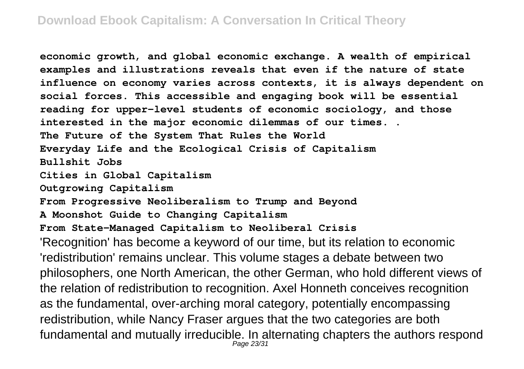**economic growth, and global economic exchange. A wealth of empirical examples and illustrations reveals that even if the nature of state influence on economy varies across contexts, it is always dependent on social forces. This accessible and engaging book will be essential reading for upper-level students of economic sociology, and those interested in the major economic dilemmas of our times. . The Future of the System That Rules the World Everyday Life and the Ecological Crisis of Capitalism Bullshit Jobs Cities in Global Capitalism Outgrowing Capitalism From Progressive Neoliberalism to Trump and Beyond A Moonshot Guide to Changing Capitalism From State-Managed Capitalism to Neoliberal Crisis** 'Recognition' has become a keyword of our time, but its relation to economic 'redistribution' remains unclear. This volume stages a debate between two philosophers, one North American, the other German, who hold different views of the relation of redistribution to recognition. Axel Honneth conceives recognition as the fundamental, over-arching moral category, potentially encompassing redistribution, while Nancy Fraser argues that the two categories are both fundamental and mutually irreducible. In alternating chapters the authors respond Page 23/31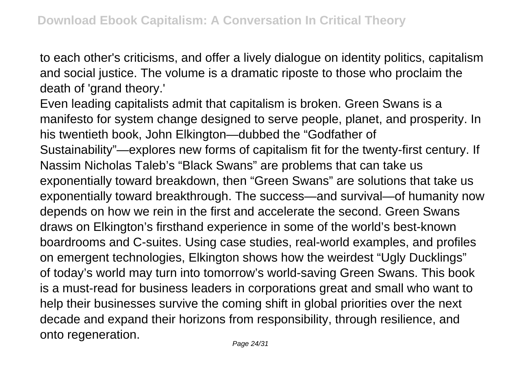to each other's criticisms, and offer a lively dialogue on identity politics, capitalism and social justice. The volume is a dramatic riposte to those who proclaim the death of 'grand theory.'

Even leading capitalists admit that capitalism is broken. Green Swans is a manifesto for system change designed to serve people, planet, and prosperity. In his twentieth book, John Elkington—dubbed the "Godfather of Sustainability"—explores new forms of capitalism fit for the twenty-first century. If Nassim Nicholas Taleb's "Black Swans" are problems that can take us exponentially toward breakdown, then "Green Swans" are solutions that take us exponentially toward breakthrough. The success—and survival—of humanity now depends on how we rein in the first and accelerate the second. Green Swans draws on Elkington's firsthand experience in some of the world's best-known boardrooms and C-suites. Using case studies, real-world examples, and profiles on emergent technologies, Elkington shows how the weirdest "Ugly Ducklings" of today's world may turn into tomorrow's world-saving Green Swans. This book is a must-read for business leaders in corporations great and small who want to help their businesses survive the coming shift in global priorities over the next decade and expand their horizons from responsibility, through resilience, and onto regeneration.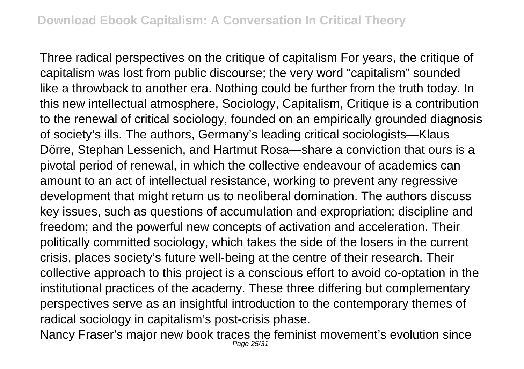Three radical perspectives on the critique of capitalism For years, the critique of capitalism was lost from public discourse; the very word "capitalism" sounded like a throwback to another era. Nothing could be further from the truth today. In this new intellectual atmosphere, Sociology, Capitalism, Critique is a contribution to the renewal of critical sociology, founded on an empirically grounded diagnosis of society's ills. The authors, Germany's leading critical sociologists—Klaus Dörre, Stephan Lessenich, and Hartmut Rosa—share a conviction that ours is a pivotal period of renewal, in which the collective endeavour of academics can amount to an act of intellectual resistance, working to prevent any regressive development that might return us to neoliberal domination. The authors discuss key issues, such as questions of accumulation and expropriation; discipline and freedom; and the powerful new concepts of activation and acceleration. Their politically committed sociology, which takes the side of the losers in the current crisis, places society's future well-being at the centre of their research. Their collective approach to this project is a conscious effort to avoid co-optation in the institutional practices of the academy. These three differing but complementary perspectives serve as an insightful introduction to the contemporary themes of radical sociology in capitalism's post-crisis phase.

Nancy Fraser's major new book traces the feminist movement's evolution since Page 25/31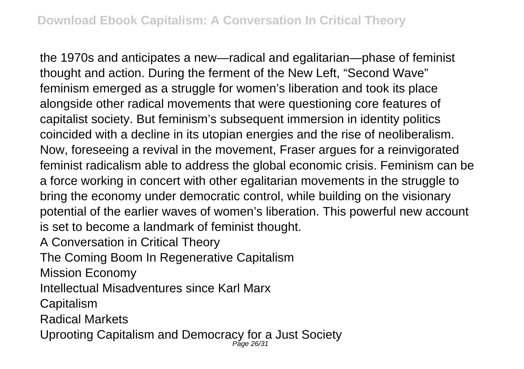the 1970s and anticipates a new—radical and egalitarian—phase of feminist thought and action. During the ferment of the New Left, "Second Wave" feminism emerged as a struggle for women's liberation and took its place alongside other radical movements that were questioning core features of capitalist society. But feminism's subsequent immersion in identity politics coincided with a decline in its utopian energies and the rise of neoliberalism. Now, foreseeing a revival in the movement, Fraser argues for a reinvigorated feminist radicalism able to address the global economic crisis. Feminism can be a force working in concert with other egalitarian movements in the struggle to bring the economy under democratic control, while building on the visionary potential of the earlier waves of women's liberation. This powerful new account is set to become a landmark of feminist thought.

A Conversation in Critical Theory

The Coming Boom In Regenerative Capitalism

Mission Economy

Intellectual Misadventures since Karl Marx

**Capitalism** 

Radical Markets

Uprooting Capitalism and Democracy for a Just Society Page 26/31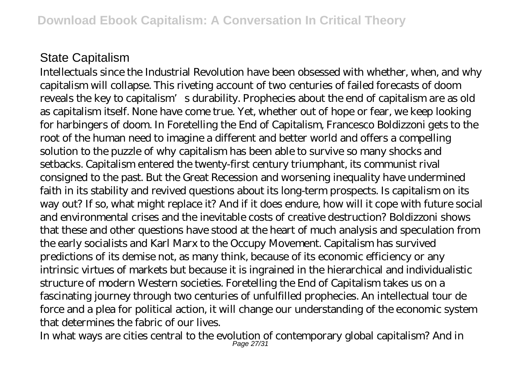## State Capitalism

Intellectuals since the Industrial Revolution have been obsessed with whether, when, and why capitalism will collapse. This riveting account of two centuries of failed forecasts of doom reveals the key to capitalism's durability. Prophecies about the end of capitalism are as old as capitalism itself. None have come true. Yet, whether out of hope or fear, we keep looking for harbingers of doom. In Foretelling the End of Capitalism, Francesco Boldizzoni gets to the root of the human need to imagine a different and better world and offers a compelling solution to the puzzle of why capitalism has been able to survive so many shocks and setbacks. Capitalism entered the twenty-first century triumphant, its communist rival consigned to the past. But the Great Recession and worsening inequality have undermined faith in its stability and revived questions about its long-term prospects. Is capitalism on its way out? If so, what might replace it? And if it does endure, how will it cope with future social and environmental crises and the inevitable costs of creative destruction? Boldizzoni shows that these and other questions have stood at the heart of much analysis and speculation from the early socialists and Karl Marx to the Occupy Movement. Capitalism has survived predictions of its demise not, as many think, because of its economic efficiency or any intrinsic virtues of markets but because it is ingrained in the hierarchical and individualistic structure of modern Western societies. Foretelling the End of Capitalism takes us on a fascinating journey through two centuries of unfulfilled prophecies. An intellectual tour de force and a plea for political action, it will change our understanding of the economic system that determines the fabric of our lives.

In what ways are cities central to the evolution of contemporary global capitalism? And in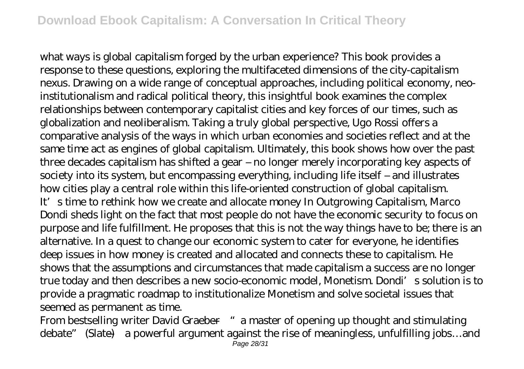what ways is global capitalism forged by the urban experience? This book provides a response to these questions, exploring the multifaceted dimensions of the city-capitalism nexus. Drawing on a wide range of conceptual approaches, including political economy, neoinstitutionalism and radical political theory, this insightful book examines the complex relationships between contemporary capitalist cities and key forces of our times, such as globalization and neoliberalism. Taking a truly global perspective, Ugo Rossi offers a comparative analysis of the ways in which urban economies and societies reflect and at the same time act as engines of global capitalism. Ultimately, this book shows how over the past three decades capitalism has shifted a gear – no longer merely incorporating key aspects of society into its system, but encompassing everything, including life itself – and illustrates how cities play a central role within this life-oriented construction of global capitalism. It's time to rethink how we create and allocate money In Outgrowing Capitalism, Marco Dondi sheds light on the fact that most people do not have the economic security to focus on purpose and life fulfillment. He proposes that this is not the way things have to be; there is an alternative. In a quest to change our economic system to cater for everyone, he identifies deep issues in how money is created and allocated and connects these to capitalism. He shows that the assumptions and circumstances that made capitalism a success are no longer true today and then describes a new socio-economic model, Monetism. Dondi's solution is to provide a pragmatic roadmap to institutionalize Monetism and solve societal issues that seemed as permanent as time.

From bestselling writer David Graeber—" a master of opening up thought and stimulating debate" (Slate)—a powerful argument against the rise of meaningless, unfulfilling jobs…and Page 28/31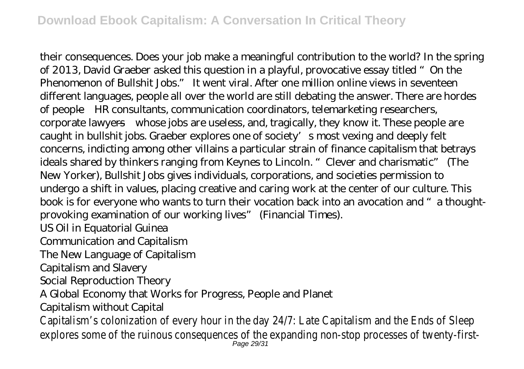their consequences. Does your job make a meaningful contribution to the world? In the spring of 2013, David Graeber asked this question in a playful, provocative essay titled "On the Phenomenon of Bullshit Jobs." It went viral. After one million online views in seventeen different languages, people all over the world are still debating the answer. There are hordes of people—HR consultants, communication coordinators, telemarketing researchers, corporate lawyers—whose jobs are useless, and, tragically, they know it. These people are caught in bullshit jobs. Graeber explores one of society's most vexing and deeply felt concerns, indicting among other villains a particular strain of finance capitalism that betrays ideals shared by thinkers ranging from Keynes to Lincoln. "Clever and charismatic" (The New Yorker), Bullshit Jobs gives individuals, corporations, and societies permission to undergo a shift in values, placing creative and caring work at the center of our culture. This book is for everyone who wants to turn their vocation back into an avocation and "a thoughtprovoking examination of our working lives" (Financial Times).

US Oil in Equatorial Guinea

Communication and Capitalism

The New Language of Capitalism

Capitalism and Slavery

Social Reproduction Theory

A Global Economy that Works for Progress, People and Planet

Capitalism without Capital

Capitalism's colonization of every hour in the day 24/7: Late Capitalism and the Ends explores some of the ruinous consequences of the expanding non-stop processes of  $r_{\text{age 29/31}}$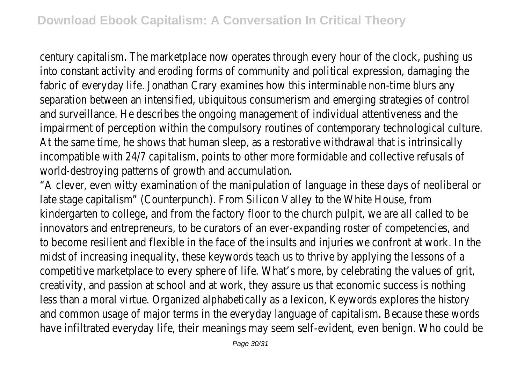century capitalism. The marketplace now operates through every hour of the clock, pushing ushing ushing ushing ushing ushing ushing ushing ushing ushing ushing ushing ushing ushing ushing ushing ushing ushing ushing ushing into constant activity and eroding forms of community and political expression, dama fabric of everyday life. Jonathan Crary examines how this interminable non-time blurs separation between an intensified, ubiquitous consumerism and emerging strategies of and surveillance. He describes the ongoing management of individual attentiveness ar impairment of perception within the compulsory routines of contemporary technolog At the same time, he shows that human sleep, as a restorative withdrawal that is in incompatible with 24/7 capitalism, points to other more formidable and collective ref world-destroying patterns of growth and accumulation.

"A clever, even witty examination of the manipulation of language in these days of ne late stage capitalism" (Counterpunch). From Silicon Valley to the White House, from kindergarten to college, and from the factory floor to the church pulpit, we are all called innovators and entrepreneurs, to be curators of an ever-expanding roster of competencies, and to become resilient and flexible in the face of the insults and injuries we confront at midst of increasing inequality, these keywords teach us to thrive by applying the less competitive marketplace to every sphere of life. What's more, by celebrating the value creativity, and passion at school and at work, they assure us that economic success less than a moral virtue. Organized alphabetically as a lexicon, Keywords explores the and common usage of major terms in the everyday language of capitalism. Because these words have infiltrated everyday life, their meanings may seem self-evident, even benign. Who